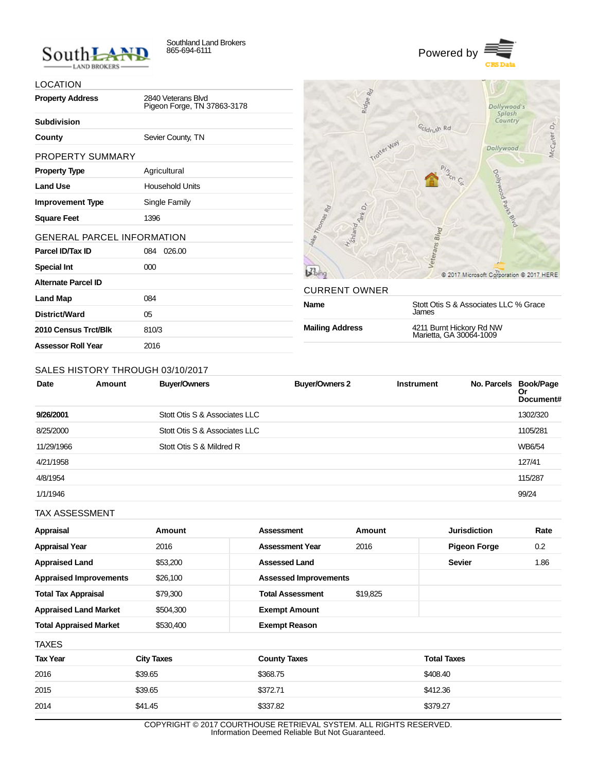



## LOCATION

| <b>Property Address</b>           | 2840 Veterans Blvd<br>Pigeon Forge, TN 37863-3178 |
|-----------------------------------|---------------------------------------------------|
| <b>Subdivision</b>                |                                                   |
| County                            | Sevier County, TN                                 |
| PROPERTY SUMMARY                  |                                                   |
| <b>Property Type</b>              | Agricultural                                      |
| <b>Land Use</b>                   | <b>Household Units</b>                            |
| <b>Improvement Type</b>           | Single Family                                     |
| <b>Square Feet</b>                | 1396                                              |
| <b>GENERAL PARCEL INFORMATION</b> |                                                   |
| Parcel ID/Tax ID                  | 026.00<br>084                                     |
| <b>Special Int</b>                | 000                                               |
| Alternate Parcel ID               |                                                   |
| <b>Land Map</b>                   | 084                                               |
| District/Ward                     | 05                                                |
| 2010 Census Trct/Blk              | 810/3                                             |
| <b>Assessor Roll Year</b>         | 2016                                              |



| CURRENT OWNER          |                                                     |
|------------------------|-----------------------------------------------------|
| Name                   | Stott Otis S & Associates LLC % Grace<br>James      |
| <b>Mailing Address</b> | 4211 Burnt Hickory Rd NW<br>Marietta, GA 30064-1009 |

## SALES HISTORY THROUGH 03/10/2017

| <b>Date</b> | Amount | <b>Buyer/Owners</b>           | <b>Buyer/Owners 2</b> | <b>Instrument</b> | No. Parcels Book/Page | Or<br>Document# |
|-------------|--------|-------------------------------|-----------------------|-------------------|-----------------------|-----------------|
| 9/26/2001   |        | Stott Otis S & Associates LLC |                       |                   |                       | 1302/320        |
| 8/25/2000   |        | Stott Otis S & Associates LLC |                       |                   |                       | 1105/281        |
| 11/29/1966  |        | Stott Otis S & Mildred R      |                       |                   |                       | WB6/54          |
| 4/21/1958   |        |                               |                       |                   |                       | 127/41          |
| 4/8/1954    |        |                               |                       |                   |                       | 115/287         |
| 1/1/1946    |        |                               |                       |                   |                       | 99/24           |

TAX ASSESSMENT

| Appraisal                     | Amount    | Assessment                   | Amount   | <b>Jurisdiction</b> | Rate |
|-------------------------------|-----------|------------------------------|----------|---------------------|------|
| <b>Appraisal Year</b>         | 2016      | <b>Assessment Year</b>       | 2016     | <b>Pigeon Forge</b> | 0.2  |
| <b>Appraised Land</b>         | \$53,200  | <b>Assessed Land</b>         |          | <b>Sevier</b>       | 1.86 |
| <b>Appraised Improvements</b> | \$26,100  | <b>Assessed Improvements</b> |          |                     |      |
| <b>Total Tax Appraisal</b>    | \$79,300  | <b>Total Assessment</b>      | \$19.825 |                     |      |
| <b>Appraised Land Market</b>  | \$504,300 | <b>Exempt Amount</b>         |          |                     |      |
| <b>Total Appraised Market</b> | \$530,400 | <b>Exempt Reason</b>         |          |                     |      |
| <b>TAXES</b>                  |           |                              |          |                     |      |

| <b>Tax Year</b> | <b>City Taxes</b> | <b>County Taxes</b> | <b>Total Taxes</b> |
|-----------------|-------------------|---------------------|--------------------|
| 2016            | \$39.65           | \$368.75            | \$408.40           |
| 2015            | \$39.65           | \$372.71            | \$412.36           |
| 2014            | \$41.45           | \$337.82            | \$379.27           |

COPYRIGHT © 2017 COURTHOUSE RETRIEVAL SYSTEM. ALL RIGHTS RESERVED. Information Deemed Reliable But Not Guaranteed.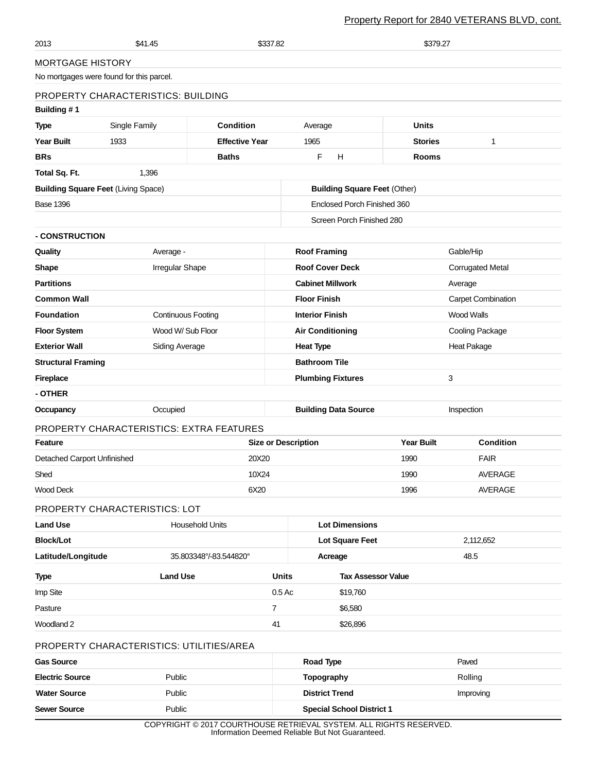## Property Report for 2840 VETERANS BLVD, cont.

| 2013                                              | \$41.45                                    | \$337.82               |                                 |                                     | \$379.27            |                           |  |
|---------------------------------------------------|--------------------------------------------|------------------------|---------------------------------|-------------------------------------|---------------------|---------------------------|--|
| <b>MORTGAGE HISTORY</b>                           |                                            |                        |                                 |                                     |                     |                           |  |
|                                                   | No mortgages were found for this parcel.   |                        |                                 |                                     |                     |                           |  |
|                                                   | PROPERTY CHARACTERISTICS: BUILDING         |                        |                                 |                                     |                     |                           |  |
| Building #1                                       |                                            |                        |                                 |                                     |                     |                           |  |
| <b>Type</b>                                       | Single Family                              | <b>Condition</b>       |                                 | Average                             | <b>Units</b>        |                           |  |
| <b>Year Built</b>                                 | 1933                                       | <b>Effective Year</b>  |                                 | 1965                                | <b>Stories</b><br>1 |                           |  |
| <b>BRs</b>                                        |                                            | <b>Baths</b>           |                                 | F<br>H                              | <b>Rooms</b>        |                           |  |
| Total Sq. Ft.                                     | 1,396                                      |                        |                                 |                                     |                     |                           |  |
|                                                   | <b>Building Square Feet (Living Space)</b> |                        |                                 | <b>Building Square Feet (Other)</b> |                     |                           |  |
| <b>Base 1396</b>                                  |                                            |                        | Enclosed Porch Finished 360     |                                     |                     |                           |  |
|                                                   |                                            |                        |                                 | Screen Porch Finished 280           |                     |                           |  |
| - CONSTRUCTION                                    |                                            |                        |                                 |                                     |                     |                           |  |
| Quality                                           | Average -                                  |                        |                                 | <b>Roof Framing</b>                 |                     | Gable/Hip                 |  |
| Shape                                             | Irregular Shape                            |                        |                                 | <b>Roof Cover Deck</b>              |                     | <b>Corrugated Metal</b>   |  |
| <b>Partitions</b>                                 |                                            |                        |                                 | <b>Cabinet Millwork</b>             |                     | Average                   |  |
| <b>Common Wall</b>                                |                                            |                        |                                 | <b>Floor Finish</b>                 |                     | <b>Carpet Combination</b> |  |
| <b>Foundation</b>                                 | <b>Continuous Footing</b>                  |                        |                                 | <b>Interior Finish</b>              | <b>Wood Walls</b>   |                           |  |
| <b>Floor System</b>                               |                                            | Wood W/ Sub Floor      |                                 | <b>Air Conditioning</b>             |                     | <b>Cooling Package</b>    |  |
| <b>Exterior Wall</b><br><b>Siding Average</b>     |                                            |                        | <b>Heat Type</b><br>Heat Pakage |                                     |                     |                           |  |
| <b>Bathroom Tile</b><br><b>Structural Framing</b> |                                            |                        |                                 |                                     |                     |                           |  |
| <b>Fireplace</b>                                  |                                            |                        | <b>Plumbing Fixtures</b>        |                                     | 3                   |                           |  |
| - OTHER                                           |                                            |                        |                                 |                                     |                     |                           |  |
| Occupancy                                         | Occupied                                   |                        |                                 | <b>Building Data Source</b>         |                     | Inspection                |  |
|                                                   | PROPERTY CHARACTERISTICS: EXTRA FEATURES   |                        |                                 |                                     |                     |                           |  |
| Feature                                           |                                            |                        | <b>Size or Description</b>      |                                     | <b>Year Built</b>   | <b>Condition</b>          |  |
| Detached Carport Unfinished                       |                                            | 20X20                  |                                 |                                     | 1990                | <b>FAIR</b>               |  |
| Shed                                              |                                            | 10X24                  |                                 | 1990                                |                     | <b>AVERAGE</b>            |  |
| <b>Wood Deck</b>                                  |                                            | 6X20                   |                                 |                                     | 1996                | <b>AVERAGE</b>            |  |
|                                                   | PROPERTY CHARACTERISTICS: LOT              |                        |                                 |                                     |                     |                           |  |
| <b>Land Use</b>                                   |                                            | <b>Household Units</b> |                                 | <b>Lot Dimensions</b>               |                     |                           |  |
| <b>Block/Lot</b>                                  |                                            |                        | Lot Square Feet                 |                                     | 2,112,652           |                           |  |
| Latitude/Longitude                                |                                            | 35.803348°/-83.544820° |                                 | Acreage                             |                     | 48.5                      |  |
| <b>Type</b>                                       | <b>Land Use</b>                            |                        | <b>Units</b>                    | <b>Tax Assessor Value</b>           |                     |                           |  |
| Imp Site                                          |                                            |                        | 0.5 Ac                          | \$19,760                            |                     |                           |  |
| Pasture                                           |                                            |                        | $\overline{7}$                  | \$6,580                             |                     |                           |  |
| Woodland 2                                        |                                            |                        | 41                              | \$26,896                            |                     |                           |  |
|                                                   | PROPERTY CHARACTERISTICS: UTILITIES/AREA   |                        |                                 |                                     |                     |                           |  |
| <b>Gas Source</b>                                 |                                            |                        |                                 | Road Type                           |                     | Paved                     |  |
| <b>Electric Source</b>                            | Public                                     |                        |                                 | Topography                          |                     | Rolling                   |  |
| <b>Water Source</b>                               | Public                                     |                        |                                 | <b>District Trend</b>               |                     | Improving                 |  |
| <b>Sewer Source</b>                               | Public                                     |                        |                                 | <b>Special School District 1</b>    |                     |                           |  |